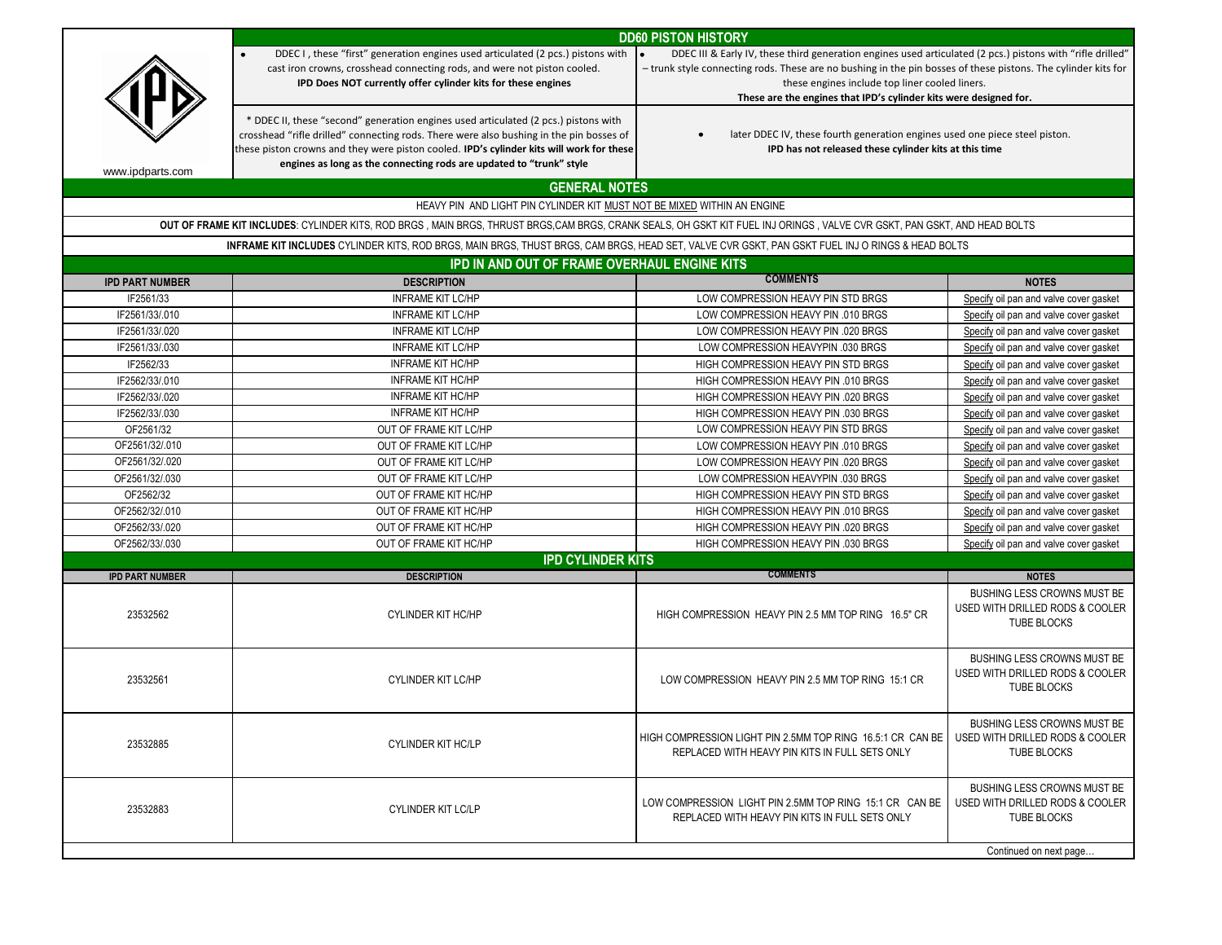|                        | <b>DD60 PISTON HISTORY</b>                                                                                                                                                                                                                                                                                                                        |                                                                                                                                                                                                                                                                                                                                                    |                                                                                      |  |
|------------------------|---------------------------------------------------------------------------------------------------------------------------------------------------------------------------------------------------------------------------------------------------------------------------------------------------------------------------------------------------|----------------------------------------------------------------------------------------------------------------------------------------------------------------------------------------------------------------------------------------------------------------------------------------------------------------------------------------------------|--------------------------------------------------------------------------------------|--|
|                        | DDEC I, these "first" generation engines used articulated (2 pcs.) pistons with<br>cast iron crowns, crosshead connecting rods, and were not piston cooled.<br>IPD Does NOT currently offer cylinder kits for these engines                                                                                                                       | DDEC III & Early IV, these third generation engines used articulated (2 pcs.) pistons with "rifle drilled"<br>- trunk style connecting rods. These are no bushing in the pin bosses of these pistons. The cylinder kits for<br>these engines include top liner cooled liners.<br>These are the engines that IPD's cylinder kits were designed for. |                                                                                      |  |
| www.ipdparts.com       | * DDEC II, these "second" generation engines used articulated (2 pcs.) pistons with<br>crosshead "rifle drilled" connecting rods. There were also bushing in the pin bosses of<br>these piston crowns and they were piston cooled. IPD's cylinder kits will work for these<br>engines as long as the connecting rods are updated to "trunk" style | later DDEC IV, these fourth generation engines used one piece steel piston.<br>IPD has not released these cylinder kits at this time                                                                                                                                                                                                               |                                                                                      |  |
|                        | <b>GENERAL NOTES</b>                                                                                                                                                                                                                                                                                                                              |                                                                                                                                                                                                                                                                                                                                                    |                                                                                      |  |
|                        | HEAVY PIN AND LIGHT PIN CYLINDER KIT MUST NOT BE MIXED WITHIN AN ENGINE                                                                                                                                                                                                                                                                           |                                                                                                                                                                                                                                                                                                                                                    |                                                                                      |  |
|                        | OUT OF FRAME KIT INCLUDES: CYLINDER KITS, ROD BRGS, MAIN BRGS, THRUST BRGS, CAM BRGS, CRANK SEALS, OH GSKT KIT FUEL INJ ORINGS, VALVE CVR GSKT, PAN GSKT, AND HEAD BOLTS                                                                                                                                                                          |                                                                                                                                                                                                                                                                                                                                                    |                                                                                      |  |
|                        | INFRAME KIT INCLUDES CYLINDER KITS, ROD BRGS, MAIN BRGS, THUST BRGS, CAM BRGS, HEAD SET, VALVE CVR GSKT, PAN GSKT FUEL INJ O RINGS & HEAD BOLTS                                                                                                                                                                                                   |                                                                                                                                                                                                                                                                                                                                                    |                                                                                      |  |
|                        | IPD IN AND OUT OF FRAME OVERHAUL ENGINE KITS                                                                                                                                                                                                                                                                                                      |                                                                                                                                                                                                                                                                                                                                                    |                                                                                      |  |
| <b>IPD PART NUMBER</b> | <b>DESCRIPTION</b>                                                                                                                                                                                                                                                                                                                                | <b>COMMENTS</b>                                                                                                                                                                                                                                                                                                                                    | <b>NOTES</b>                                                                         |  |
| IF2561/33              | <b>INFRAME KIT LC/HP</b>                                                                                                                                                                                                                                                                                                                          | LOW COMPRESSION HEAVY PIN STD BRGS                                                                                                                                                                                                                                                                                                                 | Specify oil pan and valve cover gasket                                               |  |
| IF2561/33/.010         | <b>INFRAME KIT LC/HP</b>                                                                                                                                                                                                                                                                                                                          | LOW COMPRESSION HEAVY PIN .010 BRGS                                                                                                                                                                                                                                                                                                                | Specify oil pan and valve cover gasket                                               |  |
| IF2561/33/.020         | <b>INFRAME KIT LC/HP</b>                                                                                                                                                                                                                                                                                                                          | LOW COMPRESSION HEAVY PIN .020 BRGS                                                                                                                                                                                                                                                                                                                | Specify oil pan and valve cover gasket                                               |  |
| IF2561/33/.030         | INFRAME KIT LC/HP                                                                                                                                                                                                                                                                                                                                 | LOW COMPRESSION HEAVYPIN .030 BRGS                                                                                                                                                                                                                                                                                                                 | Specify oil pan and valve cover gasket                                               |  |
| IF2562/33              | <b>INFRAME KIT HC/HP</b>                                                                                                                                                                                                                                                                                                                          | HIGH COMPRESSION HEAVY PIN STD BRGS                                                                                                                                                                                                                                                                                                                | Specify oil pan and valve cover gasket                                               |  |
| IF2562/33/.010         | <b>INFRAME KIT HC/HP</b>                                                                                                                                                                                                                                                                                                                          | HIGH COMPRESSION HEAVY PIN .010 BRGS                                                                                                                                                                                                                                                                                                               | Specify oil pan and valve cover gasket                                               |  |
| IF2562/33/.020         | <b>INFRAME KIT HC/HP</b>                                                                                                                                                                                                                                                                                                                          | HIGH COMPRESSION HEAVY PIN .020 BRGS                                                                                                                                                                                                                                                                                                               | Specify oil pan and valve cover gasket                                               |  |
| IF2562/33/.030         | <b>INFRAME KIT HC/HP</b>                                                                                                                                                                                                                                                                                                                          | HIGH COMPRESSION HEAVY PIN .030 BRGS                                                                                                                                                                                                                                                                                                               | Specify oil pan and valve cover gasket                                               |  |
| OF2561/32              | OUT OF FRAME KIT LC/HP                                                                                                                                                                                                                                                                                                                            | LOW COMPRESSION HEAVY PIN STD BRGS                                                                                                                                                                                                                                                                                                                 | Specify oil pan and valve cover gasket                                               |  |
| OF2561/32/.010         | OUT OF FRAME KIT LC/HP                                                                                                                                                                                                                                                                                                                            | LOW COMPRESSION HEAVY PIN .010 BRGS                                                                                                                                                                                                                                                                                                                | Specify oil pan and valve cover gasket                                               |  |
| OF2561/32/.020         | OUT OF FRAME KIT LC/HP                                                                                                                                                                                                                                                                                                                            | LOW COMPRESSION HEAVY PIN .020 BRGS                                                                                                                                                                                                                                                                                                                | Specify oil pan and valve cover gasket                                               |  |
| OF2561/32/.030         | OUT OF FRAME KIT LC/HP                                                                                                                                                                                                                                                                                                                            | LOW COMPRESSION HEAVYPIN .030 BRGS                                                                                                                                                                                                                                                                                                                 | Specify oil pan and valve cover gasket                                               |  |
| OF2562/32              | OUT OF FRAME KIT HC/HP                                                                                                                                                                                                                                                                                                                            | HIGH COMPRESSION HEAVY PIN STD BRGS                                                                                                                                                                                                                                                                                                                | Specify oil pan and valve cover gasket                                               |  |
| OF2562/32/.010         | OUT OF FRAME KIT HC/HP                                                                                                                                                                                                                                                                                                                            | HIGH COMPRESSION HEAVY PIN .010 BRGS                                                                                                                                                                                                                                                                                                               | Specify oil pan and valve cover gasket                                               |  |
| OF2562/33/.020         | OUT OF FRAME KIT HC/HP                                                                                                                                                                                                                                                                                                                            | HIGH COMPRESSION HEAVY PIN .020 BRGS                                                                                                                                                                                                                                                                                                               | Specify oil pan and valve cover gasket                                               |  |
| OF2562/33/.030         | OUT OF FRAME KIT HC/HP                                                                                                                                                                                                                                                                                                                            | HIGH COMPRESSION HEAVY PIN .030 BRGS                                                                                                                                                                                                                                                                                                               | Specify oil pan and valve cover gasket                                               |  |
|                        | <b>IPD CYLINDER KITS</b>                                                                                                                                                                                                                                                                                                                          |                                                                                                                                                                                                                                                                                                                                                    |                                                                                      |  |
| <b>IPD PART NUMBER</b> | <b>DESCRIPTION</b>                                                                                                                                                                                                                                                                                                                                | <b>COMMENTS</b>                                                                                                                                                                                                                                                                                                                                    | <b>NOTES</b>                                                                         |  |
| 23532562               | <b>CYLINDER KIT HC/HP</b>                                                                                                                                                                                                                                                                                                                         | HIGH COMPRESSION HEAVY PIN 2.5 MM TOP RING 16.5" CR                                                                                                                                                                                                                                                                                                | BUSHING LESS CROWNS MUST BE<br>USED WITH DRILLED RODS & COOLER<br><b>TUBE BLOCKS</b> |  |
| 23532561               | CYLINDER KIT LC/HP                                                                                                                                                                                                                                                                                                                                | LOW COMPRESSION HEAVY PIN 2.5 MM TOP RING 15:1 CR                                                                                                                                                                                                                                                                                                  | BUSHING LESS CROWNS MUST BE<br>USED WITH DRILLED RODS & COOLER<br><b>TUBE BLOCKS</b> |  |
| 23532885               | <b>CYLINDER KIT HC/LP</b>                                                                                                                                                                                                                                                                                                                         | HIGH COMPRESSION LIGHT PIN 2.5MM TOP RING 16.5:1 CR CAN BE<br>REPLACED WITH HEAVY PIN KITS IN FULL SETS ONLY                                                                                                                                                                                                                                       | BUSHING LESS CROWNS MUST BE<br>USED WITH DRILLED RODS & COOLER<br><b>TUBE BLOCKS</b> |  |
| 23532883               | <b>CYLINDER KIT LC/LP</b>                                                                                                                                                                                                                                                                                                                         | LOW COMPRESSION LIGHT PIN 2.5MM TOP RING 15:1 CR CAN BE<br>REPLACED WITH HEAVY PIN KITS IN FULL SETS ONLY                                                                                                                                                                                                                                          | BUSHING LESS CROWNS MUST BE<br>USED WITH DRILLED RODS & COOLER<br>TUBE BLOCKS        |  |
|                        |                                                                                                                                                                                                                                                                                                                                                   |                                                                                                                                                                                                                                                                                                                                                    | Continued on next page                                                               |  |